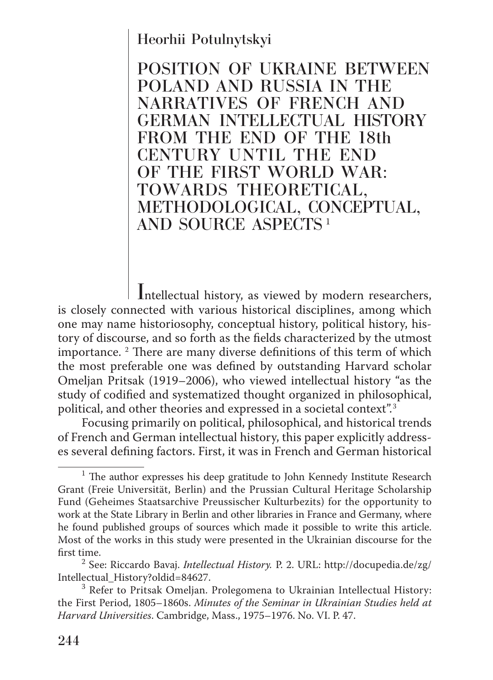## Heorhii Potulnytskyi

POSITION OF UKRAINE BETWEEN POLAND AND RUSSIA IN THE NARRATIVES OF FRENCH AND GERMAN INTELLECTUAL HISTORY FROM THE END OF THE 18th CENTURY UNTIL THE END OF THE FIRST WORLD WAR: TOWARDS THEORETICAL, METHODOLOGICAL, CONCEPTUAL, AND SOURCE ASPECTS <sup>1</sup>

Intellectual history, as viewed by modern researchers, is closely connected with various historical disciplines, among which one may name historiosophy, conceptual history, political history, history of discourse, and so forth as the fields characterized by the utmost importance. 2 There are many diverse definitions of this term of which the most preferable one was defined by outstanding Harvard scholar Omeljan Pritsak (1919–2006), who viewed intellectual history "as the study of codified and systematized thought organized in philosophical, political, and other theories and expressed in a societal context".<sup>3</sup>

Focusing primarily on political, philosophical, and historical trends of French and German intellectual history, this paper explicitly addresses several defining factors. First, it was in French and German historical

<sup>&</sup>lt;sup>1</sup> The author expresses his deep gratitude to John Kennedy Institute Research Grant (Freie Universität, Berlin) and the Prussian Cultural Heritage Scholarship Fund (Geheimes Staatsarchive Preussischer Kulturbezits) for the opportunity to work at the State Library in Berlin and other libraries in France and Germany, where he found published groups of sources which made it possible to write this article. Most of the works in this study were presented in the Ukrainian discourse for the first time. <sup>2</sup>

See: Riccardo Bavaj. *Intellectual History.* P. 2. URL: http://docupedia.de/zg/ Intellectual History?oldid=84627.

 $3$  Refer to Pritsak Omeljan. Prolegomena to Ukrainian Intellectual History: the First Period, 1805–1860s. *Minutes of the Seminar in Ukrainian Studies held at Harvard Universities*. Cambridge, Mass., 1975–1976. No. VI. P. 47.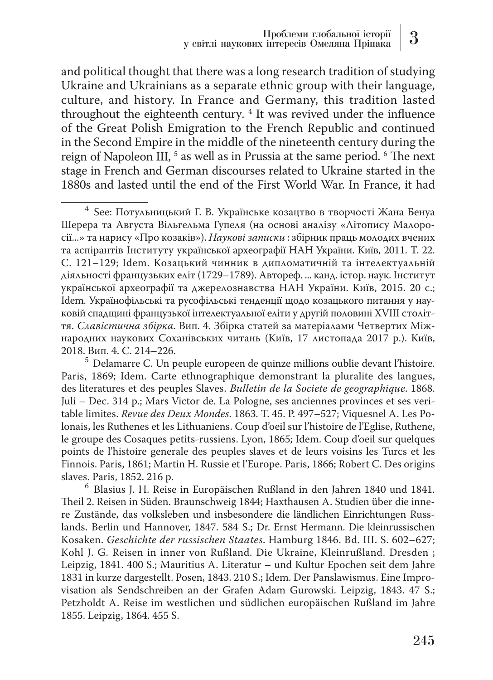and political thought that there was a long research tradition of studying Ukraine and Ukrainians as a separate ethnic group with their language, culture, and history. In France and Germany, this tradition lasted throughout the eighteenth century. <sup>4</sup> It was revived under the influence of the Great Polish Emigration to the French Republic and continued in the Second Empire in the middle of the nineteenth century during the reign of Napoleon III, <sup>5</sup> as well as in Prussia at the same period. <sup>6</sup> The next stage in French and German discourses related to Ukraine started in the 1880s and lasted until the end of the First World War. In France, it had

<sup>4</sup> See: Потульницький Г. В. Українське козацтво в творчості Жана Бенуа Шерера та Августа Вільгельма Гупеля (на основі аналізу «Літопису Малоросії...» та нарису «Про козаків»). *Наукові записки* : збірник праць молодих вчених та аспірантів Інституту української археографії НАН України. Київ, 2011. Т. 22. С. 121–129; Idem. Козацький чинник в дипломатичній та інтелектуальній діяльності французьких еліт (1729–1789). Автореф. ... канд. істор. наук. Інститут української археографії та джерелознавства НАН України. Київ, 2015. 20 с.; Idem. Українофільські та русофільські тенденції щодо козацького питання у науковій спадщині французької інтелектуальної еліти у другій половині XVIII століття. *Славістична збірка*. Вип. 4. Збірка статей за матеріалами Четвертих Міжнародних наукових Соханівських читань (Київ, 17 листопада 2017 р.). Київ,

 $<sup>5</sup>$  Delamarre C. Un peuple europeen de quinze millions oublie devant l'histoire.</sup> Paris, 1869; Idem. Carte ethnographique demonstrant la pluralite des langues, des literatures et des peuples Slaves. *Bulletin de la Societe de geographique*. 1868. Juli – Dec. 314 p.; Mars Victor de. La Pologne, ses anciennes provinces et ses veritable limites. *Revue des Deux Mondes*. 1863. T. 45. P. 497–527; Viquesnel A. Les Polonais, les Ruthenes et les Lithuaniens. Coup d'oeil sur l'histoire de l'Eglise, Ruthene, le groupe des Cosaques petits-russiens. Lyon, 1865; Idem. Coup d'oeil sur quelques points de l'histoire generale des peuples slaves et de leurs voisins les Turcs et les Finnois. Paris, 1861; Martin H. Russie et l'Europe. Paris, 1866; Robert C. Des origins

 $6$  Blasius J. H. Reise in Europäischen Rußland in den Jahren 1840 und 1841. Theil 2. Reisen in Süden. Braunschweig 1844; Haxthausen A. Studien über die innere Zustände, das volksleben und insbesondere die ländlichen Einrichtungen Russlands. Berlin und Hannover, 1847. 584 S.; Dr. Ernst Hermann. Die kleinrussischen Kosaken. *Geschichte der russischen Staates*. Hamburg 1846. Bd. III. S. 602–627; Kohl J. G. Reisen in inner von Rußland. Die Ukraine, Kleinrußland. Dresden ; Leipzig, 1841. 400 S.; Mauritius A. Literatur – und Kultur Epochen seit dem Jahre 1831 in kurze dargestellt. Posen, 1843. 210 S.; Idem. Der Panslawismus. Eine Improvisation als Sendschreiben an der Grafen Adam Gurowski. Leipzig, 1843. 47 S.; Petzholdt A. Reise im westlichen und südlichen europäischen Rußland im Jahre 1855. Leipzig, 1864. 455 S.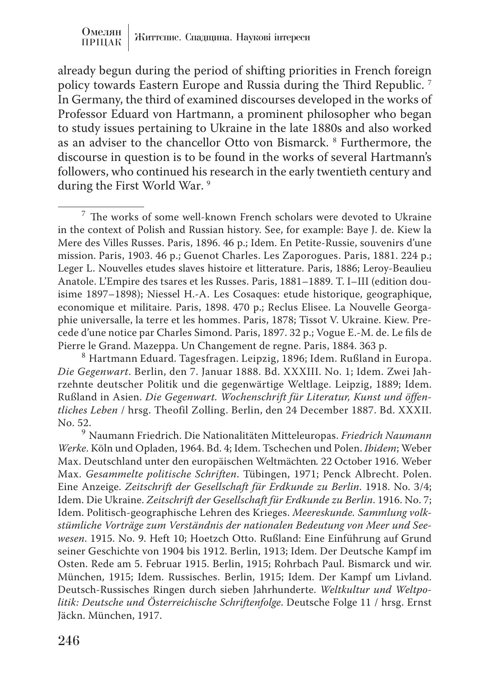already begun during the period of shifting priorities in French foreign policy towards Eastern Europe and Russia during the Third Republic. 7 In Germany, the third of examined discourses developed in the works of Professor Eduard von Hartmann, a prominent philosopher who began to study issues pertaining to Ukraine in the late 1880s and also worked as an adviser to the chancellor Otto von Bismarck. <sup>8</sup> Furthermore, the discourse in question is to be found in the works of several Hartmann's followers, who continued his research in the early twentieth century and during the First World War.<sup>9</sup>

<sup>7</sup> The works of some well-known French scholars were devoted to Ukraine in the context of Polish and Russian history. See, for example: Baye J. de. Kiew la Mere des Villes Russes. Paris, 1896. 46 p.; Idem. En Petite-Russie, souvenirs d'une mission. Paris, 1903. 46 p.; Guenot Charles. Les Zaporogues. Paris, 1881. 224 p.; Leger L. Nouvelles etudes slaves histoire et litterature. Paris, 1886; Leroy-Beaulieu Anatole. L'Empire des tsares et les Russes. Paris, 1881–1889. T. I–III (edition douisime 1897–1898); Niessel H.-A. Les Cosaques: etude historique, geographique, economique et militaire. Paris, 1898. 470 p.; Reclus Elisee. La Nouvelle Georgaphie universalle, la terre et les hommes. Paris, 1878; Tissot V. Ukraine. Kiew. Precede d'une notice par Charles Simond. Paris, 1897. 32 p.; Vogue E.-M. de. Le fils de

<sup>8</sup> Hartmann Eduard. Tagesfragen. Leipzig, 1896; Idem. Rußland in Europa. *Die Gegenwart*. Berlin, den 7. Januar 1888. Bd. XXXIII. No. 1; Idem. Zwei Jahrzehnte deutscher Politik und die gegenwärtige Weltlage. Leipzig, 1889; Idem. Rußland in Asien. *Die Gegenwart. Wochenschrift für Literatur, Kunst und öffentliches Leben* / hrsg. Theofil Zolling. Berlin, den 24 December 1887. Bd. XXXII.

<sup>9</sup> Naumann Friedrich. Die Nationalitäten Mitteleuropas. *Friedrich Naumann Werke*. Köln und Opladen, 1964. Bd. 4; Idem. Tschechen und Polen. *Ibidem*; Weber Max. Deutschland unter den europäischen Weltmächten*.* 22 October 1916. Weber Max. *Gesammelte politische Schriften*. Tübingen, 1971; Penck Albrecht. Polen. Eine Anzeige. *Zeitschrift der Gesellschaft für Erdkunde zu Berlin*. 1918. No. 3/4; Idem. Die Ukraine. *Zeitschrift der Gesellschaft für Erdkunde zu Berlin*. 1916. No. 7; Idem. Politisch-geographische Lehren des Krieges. *Meereskunde. Sammlung volkstümliche Vorträge zum Verständnis der nationalen Bedeutung von Meer und Seewesen*. 1915. No. 9. Heft 10; Hoetzch Otto. Rußland: Eine Einführung auf Grund seiner Geschichte von 1904 bis 1912. Berlin, 1913; Idem. Der Deutsche Kampf im Osten. Rede am 5. Februar 1915. Berlin, 1915; Rohrbach Paul. Bismarck und wir. München, 1915; Idem. Russisches. Berlin, 1915; Idem. Der Kampf um Livland. Deutsch-Russisches Ringen durch sieben Jahrhunderte. *Weltkultur und Weltpolitik: Deutsche und Österreichische Schriftenfolge*. Deutsche Folge 11 / hrsg. Ernst Jäckn. München, 1917.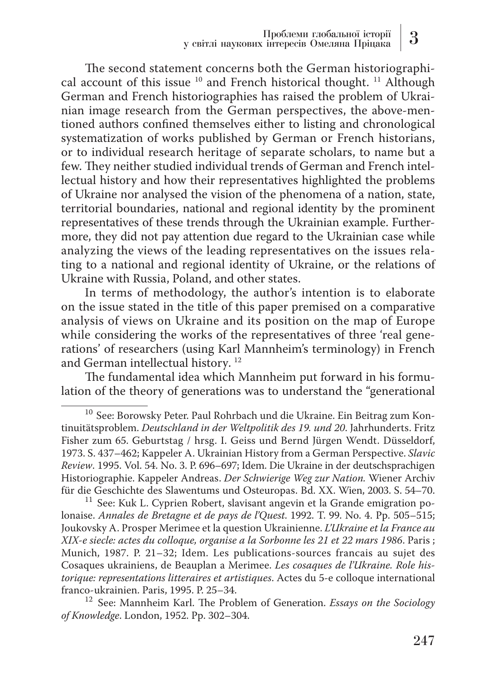The second statement concerns both the German historiographical account of this issue  $10$  and French historical thought. <sup>11</sup> Although German and French historiographies has raised the problem of Ukrainian image research from the German perspectives, the above-mentioned authors confined themselves either to listing and chronological systematization of works published by German or French historians, or to individual research heritage of separate scholars, to name but a few. They neither studied individual trends of German and French intellectual history and how their representatives highlighted the problems of Ukraine nor analysed the vision of the phenomena of a nation, state, territorial boundaries, national and regional identity by the prominent representatives of these trends through the Ukrainian example. Furthermore, they did not pay attention due regard to the Ukrainian case while analyzing the views of the leading representatives on the issues relating to a national and regional identity of Ukraine, or the relations of Ukraine with Russia, Poland, and other states.

In terms of methodology, the author's intention is to elaborate on the issue stated in the title of this paper premised on a comparative analysis of views on Ukraine and its position on the map of Europe while considering the works of the representatives of three 'real generations' of researchers (using Karl Mannheim's terminology) in French and German intellectual history. 12

The fundamental idea which Mannheim put forward in his formulation of the theory of generations was to understand the "generational

 $11$  See: Kuk L. Cyprien Robert, slavisant angevin et la Grande emigration polonaise. *Annales de Bretagne et de pays de l'Quest*. 1992. T. 99. No. 4. Pp. 505–515; Joukovsky A. Prosper Merimee et la question Ukrainienne. *L'Ukraine et la France au XIX-e siecle: actes du colloque, organise a la Sorbonne les 21 et 22 mars 1986*. Paris ; Munich, 1987. P. 21–32; Idem. Les publications-sources francais au sujet des Cosaques ukrainiens, de Beauplan a Merimee. *Les cosaques de l'Ukraine. Role historique: representations litteraires et artistiques*. Actes du 5-e colloque international

<sup>12</sup> See: Mannheim Karl. The Problem of Generation. *Essays on the Sociology of Knowledge*. London, 1952. Pp. 302–304.

<sup>&</sup>lt;sup>10</sup> See: Borowsky Peter. Paul Rohrbach und die Ukraine. Ein Beitrag zum Kontinuitätsproblem. *Deutschland in der Weltpolitik des 19. und 20*. Jahrhunderts. Fritz Fisher zum 65. Geburtstag / hrsg. I. Geiss und Bernd Jürgen Wendt. Düsseldorf, 1973. S. 437–462; Kappeler A. Ukrainian History from a German Perspective. *Slavic Review*. 1995. Vol. 54. No. 3. Р. 696–697; Idem. Die Ukraine in der deutschsprachigen Historiographie. Kappeler Andreas. *Der Schwierige Weg zur Nation.* Wiener Archiv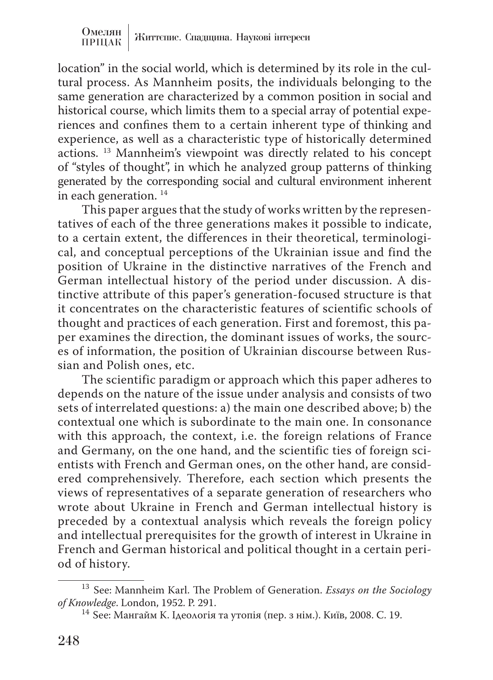location" in the social world, which is determined by its role in the cultural process. As Mannheim posits, the individuals belonging to the same generation are characterized by a common position in social and historical course, which limits them to a special array of potential experiences and confines them to a certain inherent type of thinking and experience, as well as a characteristic type of historically determined actions. 13 Mannheim's viewpoint was directly related to his concept of "styles of thought", in which he analyzed group patterns of thinking generated by the corresponding social and cultural environment inherent in each generation.<sup>14</sup>

This paper argues that the study of works written by the representatives of each of the three generations makes it possible to indicate, to a certain extent, the differences in their theoretical, terminological, and conceptual perceptions of the Ukrainian issue and find the position of Ukraine in the distinctive narratives of the French and German intellectual history of the period under discussion. A distinctive attribute of this paper's generation-focused structure is that it concentrates on the characteristic features of scientific schools of thought and practices of each generation. First and foremost, this paper examines the direction, the dominant issues of works, the sources of information, the position of Ukrainian discourse between Russian and Polish ones, etc.

The scientific paradigm or approach which this paper adheres to depends on the nature of the issue under analysis and consists of two sets of interrelated questions: a) the main one described above; b) the contextual one which is subordinate to the main one. In consonance with this approach, the context, i.e. the foreign relations of France and Germany, on the one hand, and the scientific ties of foreign scientists with French and German ones, on the other hand, are considered comprehensively. Therefore, each section which presents the views of representatives of a separate generation of researchers who wrote about Ukraine in French and German intellectual history is preceded by a contextual analysis which reveals the foreign policy and intellectual prerequisites for the growth of interest in Ukraine in French and German historical and political thought in a certain period of history.

<sup>&</sup>lt;sup>13</sup> See: Mannheim Karl. The Problem of Generation. *Essays on the Sociology of Knowledge*. London, 1952. P. 291.

<sup>&</sup>lt;sup>14</sup> See: Мангайм К. Ідеологія та утопія (пер. з нім.). Київ, 2008. С. 19.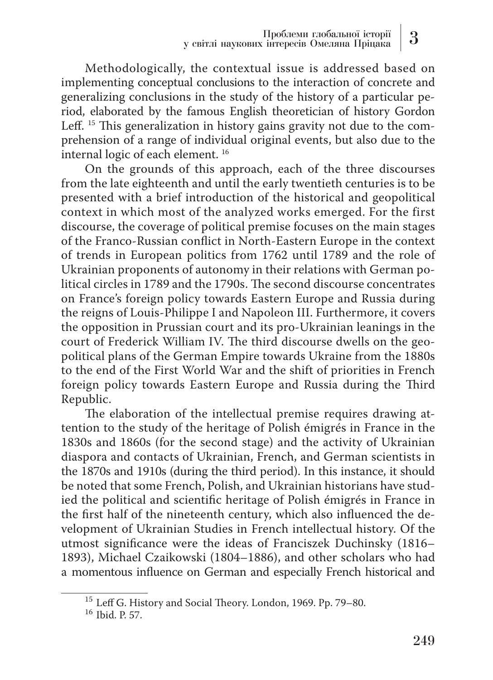Methodologically, the contextual issue is addressed based on implementing conceptual conclusions to the interaction of concrete and generalizing conclusions in the study of the history of a particular period, elaborated by the famous English theoretician of history Gordon Leff. 15 This generalization in history gains gravity not due to the comprehension of a range of individual original events, but also due to the internal logic of each element. 16

On the grounds of this approach, each of the three discourses from the late eighteenth and until the early twentieth centuries is to be presented with a brief introduction of the historical and geopolitical context in which most of the analyzed works emerged. For the first discourse, the coverage of political premise focuses on the main stages of the Franco-Russian conflict in North-Eastern Europe in the context of trends in European politics from 1762 until 1789 and the role of Ukrainian proponents of autonomy in their relations with German political circles in 1789 and the 1790s. The second discourse concentrates on France's foreign policy towards Eastern Europe and Russia during the reigns of Louis-Philippe I and Napoleon III. Furthermore, it covers the opposition in Prussian court and its pro-Ukrainian leanings in the court of Frederick William IV. The third discourse dwells on the geopolitical plans of the German Empire towards Ukraine from the 1880s to the end of the First World War and the shift of priorities in French foreign policy towards Eastern Europe and Russia during the Third Republic.

The elaboration of the intellectual premise requires drawing attention to the study of the heritage of Polish émigrés in France in the 1830s and 1860s (for the second stage) and the activity of Ukrainian diaspora and contacts of Ukrainian, French, and German scientists in the 1870s and 1910s (during the third period). In this instance, it should be noted that some French, Polish, and Ukrainian historians have studied the political and scientific heritage of Polish émigrés in France in the first half of the nineteenth century, which also influenced the development of Ukrainian Studies in French intellectual history. Of the utmost significance were the ideas of Franciszek Duchinsky (1816– 1893), Michael Czaikowski (1804–1886), and other scholars who had a momentous influence on German and especially French historical and

<sup>&</sup>lt;sup>15</sup> Leff G. History and Social Theory. London, 1969. Pp. 79–80.<br><sup>16</sup> Ibid. P. 57.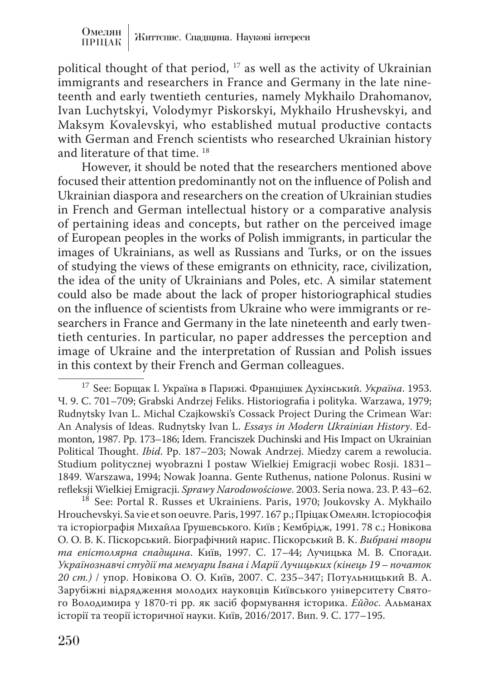political thought of that period, 17 as well as the activity of Ukrainian immigrants and researchers in France and Germany in the late nineteenth and early twentieth centuries, namely Mykhailo Drahomanov, Ivan Luchytskyi, Volodymyr Piskorskyi, Mykhailo Hrushevskyi, and Maksym Kovalevskyi, who established mutual productive contacts with German and French scientists who researched Ukrainian history and literature of that time. 18

However, it should be noted that the researchers mentioned above focused their attention predominantly not on the influence of Polish and Ukrainian diaspora and researchers on the creation of Ukrainian studies in French and German intellectual history or a comparative analysis of pertaining ideas and concepts, but rather on the perceived image of European peoples in the works of Polish immigrants, in particular the images of Ukrainians, as well as Russians and Turks, or on the issues of studying the views of these emigrants on ethnicity, race, civilization, the idea of the unity of Ukrainians and Poles, etc. A similar statement could also be made about the lack of proper historiographical studies on the influence of scientists from Ukraine who were immigrants or researchers in France and Germany in the late nineteenth and early twentieth centuries. In particular, no paper addresses the perception and image of Ukraine and the interpretation of Russian and Polish issues in this context by their French and German colleagues.

<sup>18</sup> See: Portal R. Russes et Ukrainiens. Paris, 1970; Joukovsky A. Mykhailo Hrouchevskyi. Sa vie et son oeuvre. Paris, 1997. 167 p.; Пріцак Омелян. Історіософія та історіографія Михайла Грушевського. Київ ; Кембрідж, 1991. 78 c.; Новікова О. О. В. К. Піскорський. Біографічний нарис. Піскорський В. К. *Вибрані твори та епістолярна спадщина*. Київ, 1997. С. 17–44; Лучицька М. В. Спогади. *Українознавчі студії та мемуари Івана і Марії Лучицьких (кінець 19 – початок 20 ст.)* / упор. Новікова О. О. Київ, 2007. С. 235–347; Потульницький В. А. Зарубіжні відрядження молодих науковців Київського університету Святого Володимира у 1870-ті рр. як засіб формування історика. *Ейдос*. Альманах історії та теорії історичної науки. Київ, 2016/2017. Вип. 9. С. 177–195.

<sup>17</sup> See: Борщак І. Україна в Парижі. Францішек Духінський. *Україна*. 1953. Ч. 9. С. 701–709; Grabski Andrzej Feliks. Historiografia i polityka. Warzawa, 1979; Rudnytsky Ivan L. Michal Czajkowski's Cossack Project During the Crimean War: An Analysis of Ideas. Rudnytsky Ivan L. *Essays in Modern Ukrainian History*. Edmonton, 1987. Pp. 173–186; Idem. Franciszek Duchinski and His Impact on Ukrainian Political Thought. *Ibid*. Pp. 187–203; Nowak Andrzej. Miedzy carem a rewolucia. Studium politycznej wyobrazni I postaw Wielkiej Emigracji wobec Rosji. 1831– 1849. Warszawa, 1994; Nowak Joanna. Gente Ruthenus, natione Polonus. Rusini w<br>refleksji Wielkiej Emigracji. Sprawy Narodowościowe. 2003. Seria nowa. 23. P. 43–62.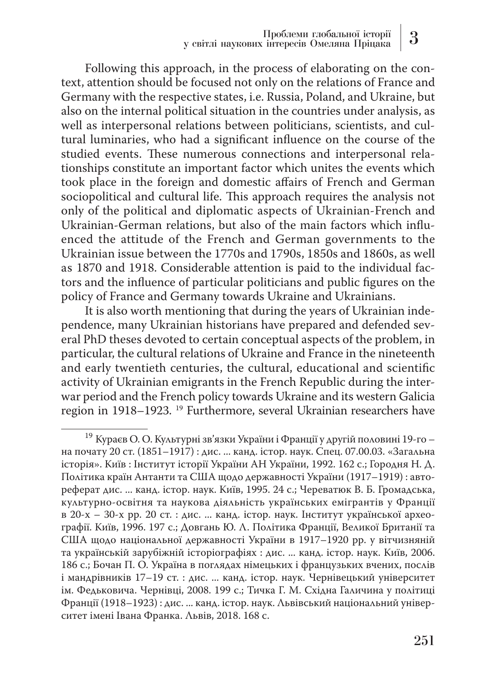Following this approach, in the process of elaborating on the context, attention should be focused not only on the relations of France and Germany with the respective states, i.e. Russia, Poland, and Ukraine, but also on the internal political situation in the countries under analysis, as well as interpersonal relations between politicians, scientists, and cultural luminaries, who had a significant influence on the course of the studied events. These numerous connections and interpersonal relationships constitute an important factor which unites the events which took place in the foreign and domestic affairs of French and German sociopolitical and cultural life. This approach requires the analysis not only of the political and diplomatic aspects of Ukrainian-French and Ukrainian-German relations, but also of the main factors which influenced the attitude of the French and German governments to the Ukrainian issue between the 1770s and 1790s, 1850s and 1860s, as well as 1870 and 1918. Considerable attention is paid to the individual factors and the influence of particular politicians and public figures on the policy of France and Germany towards Ukraine and Ukrainians.

It is also worth mentioning that during the years of Ukrainian independence, many Ukrainian historians have prepared and defended several PhD theses devoted to certain conceptual aspects of the problem, in particular, the cultural relations of Ukraine and France in the nineteenth and early twentieth centuries, the cultural, educational and scientific activity of Ukrainian emigrants in the French Republic during the interwar period and the French policy towards Ukraine and its western Galicia region in 1918–1923. 19 Furthermore, several Ukrainian researchers have

<sup>19</sup> Кураєв О. О. Культурні зв'язки України і Франції у другій половині 19-го – на почату 20 ст. (1851–1917) : дис. ... канд. істор. наук. Спец. 07.00.03. «Загальна історія». Київ : Інститут історії України АН України, 1992. 162 с.; Городня Н. Д. Політика країн Антанти та США щодо державності України (1917–1919) : автореферат дис. ... канд. істор. наук. Київ, 1995. 24 с.; Череватюк В. Б. Громадська, культурно-освітня та наукова діяльність українських емігрантів у Франції в 20-х – 30-х рр. 20 ст. : дис. ... канд. істор. наук. Інститут української археографії. Київ, 1996. 197 с.; Довгань Ю. Л. Політика Франції, Великої Британії та США щодо національної державності України в 1917–1920 рр. у вітчизняній та українській зарубіжній історіографіях : дис. ... канд. істор. наук. Київ, 2006. 186 с.; Бочан П. О. Україна в поглядах німецьких і французьких вчених, послів і мандрівників 17–19 ст. : дис. ... канд. істор. наук. Чернівецький університет ім. Федьковича. Чернівці, 2008. 199 с.; Тичка Г. М. Східна Галичина у політиці Франції (1918–1923) : дис. ... канд. істор. наук. Львівський національний університет імені Івана Франка. Львів, 2018. 168 с.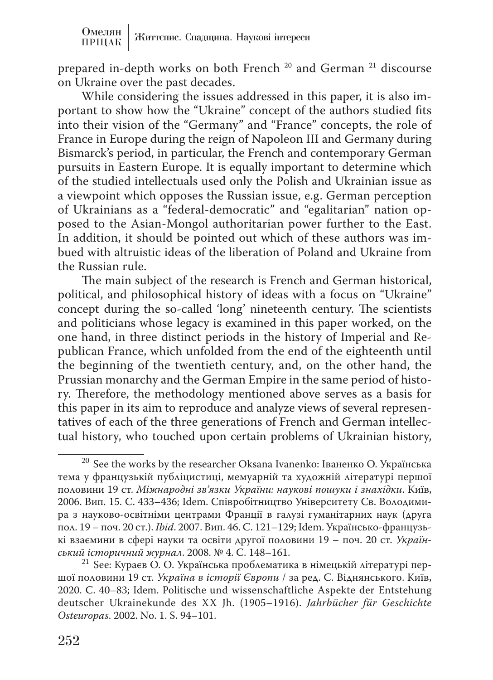prepared in-depth works on both French 20 and German 21 discourse on Ukraine over the past decades.

While considering the issues addressed in this paper, it is also important to show how the "Ukraine" concept of the authors studied fits into their vision of the "Germany" and "France" concepts, the role of France in Europe during the reign of Napoleon III and Germany during Bismarck's period, in particular, the French and contemporary German pursuits in Eastern Europe. It is equally important to determine which of the studied intellectuals used only the Polish and Ukrainian issue as a viewpoint which opposes the Russian issue, e.g. German perception of Ukrainians as a "federal-democratic" and "egalitarian" nation opposed to the Asian-Mongol authoritarian power further to the East. In addition, it should be pointed out which of these authors was imbued with altruistic ideas of the liberation of Poland and Ukraine from the Russian rule.

The main subject of the research is French and German historical, political, and philosophical history of ideas with a focus on "Ukraine" concept during the so-called 'long' nineteenth century. The scientists and politicians whose legacy is examined in this paper worked, on the one hand, in three distinct periods in the history of Imperial and Republican France, which unfolded from the end of the eighteenth until the beginning of the twentieth century, and, on the other hand, the Prussian monarchy and the German Empire in the same period of history. Therefore, the methodology mentioned above serves as a basis for this paper in its aim to reproduce and analyze views of several representatives of each of the three generations of French and German intellectual history, who touched upon certain problems of Ukrainian history,

<sup>&</sup>lt;sup>20</sup> See the works by the researcher Oksana Ivanenko: Іваненко О. Українська тема у французькій публіцистиці, мемуарній та художній літературі першої половини 19 ст. *Міжнародні зв'язки України: наукові пошуки і знахідки*. Київ, 2006. Вип. 15. С. 433–436; Idem. Співробітництво Університету Св. Володимира з науково-освітніми центрами Франції в галузі гуманітарних наук (друга пол. 19 – поч. 20 ст.). *Ibid*. 2007. Вип. 46. С. 121–129; Idem. Українсько-французькі взаємини в сфері науки та освіти другої половини 19 – поч. 20 ст. *Україн-*

<sup>&</sup>lt;sup>21</sup> See: Кураєв О. О. Українська проблематика в німецькій літературі першої половини 19 ст. *Україна в історії Європи* / за ред. С. Віднянського. Київ, 2020. С. 40–83; Idem. Politische und wissenschaftliche Aspekte der Entstehung deutscher Ukrainekunde des XX Jh. (1905–1916). *Jahrbücher für Geschichte Osteuropas*. 2002. No. 1. S. 94–101.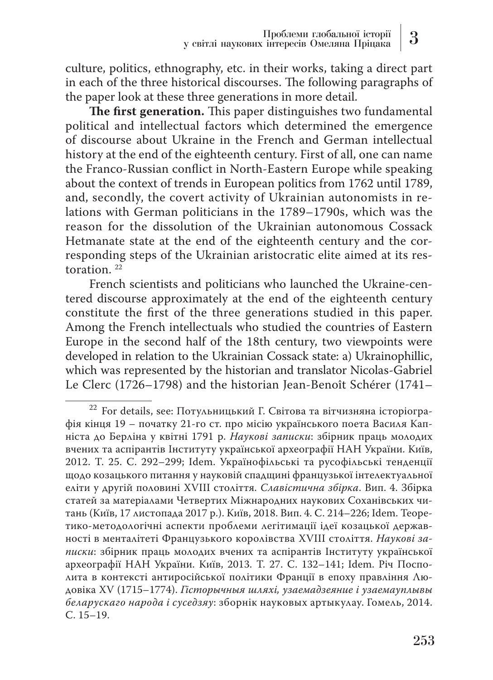culture, politics, ethnography, etc. in their works, taking a direct part in each of the three historical discourses. The following paragraphs of the paper look at these three generations in more detail.

**The first generation.** This paper distinguishes two fundamental political and intellectual factors which determined the emergence of discourse about Ukraine in the French and German intellectual history at the end of the eighteenth century. First of all, one can name the Franco-Russian conflict in North-Eastern Europe while speaking about the context of trends in European politics from 1762 until 1789, and, secondly, the covert activity of Ukrainian autonomists in relations with German politicians in the 1789–1790s, which was the reason for the dissolution of the Ukrainian autonomous Cossack Hetmanate state at the end of the eighteenth century and the corresponding steps of the Ukrainian aristocratic elite aimed at its restoration. 22

French scientists and politicians who launched the Ukraine-centered discourse approximately at the end of the eighteenth century constitute the first of the three generations studied in this paper. Among the French intellectuals who studied the countries of Eastern Europe in the second half of the 18th century, two viewpoints were developed in relation to the Ukrainian Cossack state: a) Ukrainophillic, which was represented by the historian and translator Nicolas-Gabriel Le Clerc (1726–1798) and the historian Jean-Benoît Schérer (1741–

<sup>&</sup>lt;sup>22</sup> For details, see: Потульницький Г. Світова та вітчизняна історіографія кінця 19 – початку 21-го ст. про місію українського поета Василя Капніста до Берліна у квітні 1791 р. *Наукові записки*: збірник праць молодих вчених та аспірантів Інституту української археографії НАН України. Київ, 2012. Т. 25. С. 292–299; Idem. Українофільські та русофільські тенденції щодо козацького питання у науковій спадщині французької інтелектуальної еліти у другій половині XVIII століття. *Славістична збірка*. Вип. 4. Збірка статей за матеріалами Четвертих Міжнародних наукових Соханівських читань (Київ, 17 листопада 2017 р.). Київ, 2018. Вип. 4. C. 214–226; Idem. Теоретико-методологічні аспекти проблеми легітимації ідеї козацької державності в менталітеті Французького королівства XVIII століття. *Наукові записки*: збірник праць молодих вчених та аспірантів Інституту української археографії НАН України. Київ, 2013. Т. 27. С. 132–141; Idem. Річ Посполита в контексті антиросійської політики Франції в епоху правління Людовіка XV (1715–1774). *Гісторычныя шляхі, узаемадзеяние і узаемауплывы беларускаго народа і суседзяу*: зборнік науковых артыкулау. Гомель, 2014. С. 15–19.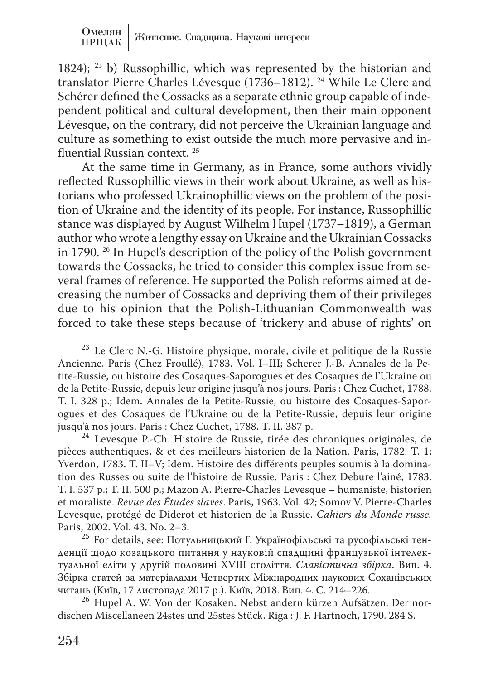1824); 23 b) Russophillic, which was represented by the historian and translator Pierre Charles Lévesque (1736–1812). 24 While Le Clerc and Schérer defined the Cossacks as a separate ethnic group capable of independent political and cultural development, then their main opponent Lévesque, on the contrary, did not perceive the Ukrainian language and culture as something to exist outside the much more pervasive and influential Russian context. 25

At the same time in Germany, as in France, some authors vividly reflected Russophillic views in their work about Ukraine, as well as historians who professed Ukrainophillic views on the problem of the position of Ukraine and the identity of its people. For instance, Russophillic stance was displayed by August Wilhelm Hupel (1737–1819), a German author who wrote a lengthy essay on Ukraine and the Ukrainian Cossacks in 1790. 26 In Hupel's description of the policy of the Polish government towards the Cossacks, he tried to consider this complex issue from several frames of reference. He supported the Polish reforms aimed at decreasing the number of Cossacks and depriving them of their privileges due to his opinion that the Polish-Lithuanian Commonwealth was forced to take these steps because of 'trickery and abuse of rights' on

 $24$  Levesque P.-Ch. Histoire de Russie, tirée des chroniques originales, de pièces authentiques, & et des meilleurs historien de la Nation. Paris, 1782. T. 1; Yverdon, 1783. T. II–V; Idem. Histoire des différents peuples soumis à la domination des Russes ou suite de l'histoire de Russie. Paris : Chez Debure l'ainé, 1783. T. I. 537 p.; T. II. 500 p.; Mazon A. Pierre-Charles Levesque – humaniste, historien et moraliste. *Revue des Études slaves*. Paris, 1963. Vol. 42; Somov V. Pierre-Charles Levesque, protégé de Diderot et historien de la Russie. *Cahiers du Monde russe.*

<sup>25</sup> For details, see: Потульницький Г. Українофільські та русофільські тенденції щодо козацького питання у науковій спадщині французької інтелектуальної еліти у другій половині XVIII століття. *Славістична збірка*. Вип. 4. Збірка статей за матеріалами Четвертих Міжнародних наукових Соханівських<br>читань (Київ, 17 листопада 2017 р.). Київ, 2018. Вип. 4. С. 214–226.

<sup>26</sup> Hupel A. W. Von der Kosaken. Nebst andern kürzen Aufsätzen. Der nordischen Miscellaneen 24stes und 25stes Stück. Riga : J. F. Hartnoch, 1790. 284 S.

<sup>&</sup>lt;sup>23</sup> Le Clerc N.-G. Histoire physique, morale, civile et politique de la Russie Ancienne*.* Paris (Chez Froullé), 1783. Vol. I–III; Scherer J.-B. Annales de la Petite-Russie, ou histoire des Cosaques-Saporogues et des Cosaques de l'Ukraine ou de la Petite-Russie, depuis leur origine jusqu'à nos jours. Paris : Chez Cuchet, 1788. T. I. 328 p.; Idem. Annales de la Petite-Russie, ou histoire des Cosaques-Saporogues et des Cosaques de l'Ukraine ou de la Petite-Russie, depuis leur origine jusqu'à nos jours. Paris : Chez Cuchet, 1788. T. II. 387 p.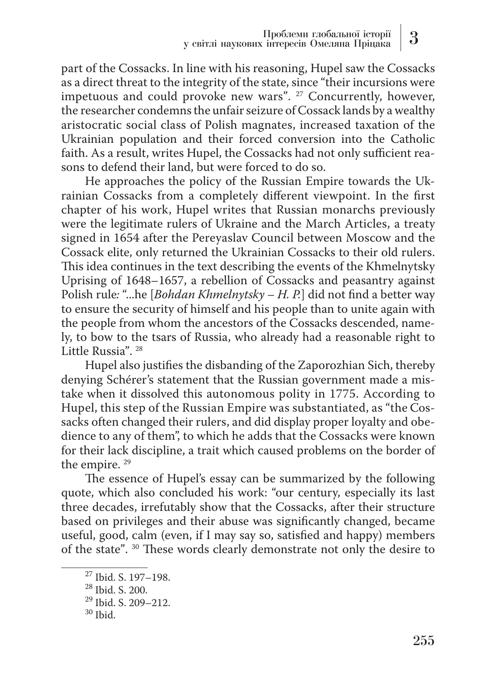part of the Cossacks. In line with his reasoning, Hupel saw the Cossacks as a direct threat to the integrity of the state, since "their incursions were impetuous and could provoke new wars". <sup>27</sup> Concurrently, however, the researcher condemns the unfair seizure of Cossack lands by a wealthy aristocratic social class of Polish magnates, increased taxation of the Ukrainian population and their forced conversion into the Catholic faith. As a result, writes Hupel, the Cossacks had not only sufficient reasons to defend their land, but were forced to do so.

He approaches the policy of the Russian Empire towards the Ukrainian Cossacks from a completely different viewpoint. In the first chapter of his work, Hupel writes that Russian monarchs previously were the legitimate rulers of Ukraine and the March Articles, a treaty signed in 1654 after the Pereyaslav Council between Moscow and the Cossack elite, only returned the Ukrainian Cossacks to their old rulers. This idea continues in the text describing the events of the Khmelnytsky Uprising of 1648–1657, a rebellion of Cossacks and peasantry against Polish rule*:* "...he [*Bohdan Khmelnytsky – H. P.*] did not find a better way to ensure the security of himself and his people than to unite again with the people from whom the ancestors of the Cossacks descended, namely, to bow to the tsars of Russia, who already had a reasonable right to Little Russia". 28

Hupel also justifies the disbanding of the Zaporozhian Sich, thereby denying Schérer's statement that the Russian government made a mistake when it dissolved this autonomous polity in 1775. According to Hupel, this step of the Russian Empire was substantiated, as "the Cossacks often changed their rulers, and did display proper loyalty and obedience to any of them", to which he adds that the Cossacks were known for their lack discipline, a trait which caused problems on the border of the empire. 29

The essence of Hupel's essay can be summarized by the following quote, which also concluded his work: "our century, especially its last three decades, irrefutably show that the Cossacks, after their structure based on privileges and their abuse was significantly changed, became useful, good, calm (even, if I may say so, satisfied and happy) members of the state". 30 These words clearly demonstrate not only the desire to

255

<sup>27</sup> Ibid. S. 197–198.

<sup>28</sup> Ibid. S. 200.

<sup>29</sup> Ibid. S. 209–212.

 $30$  Ibid.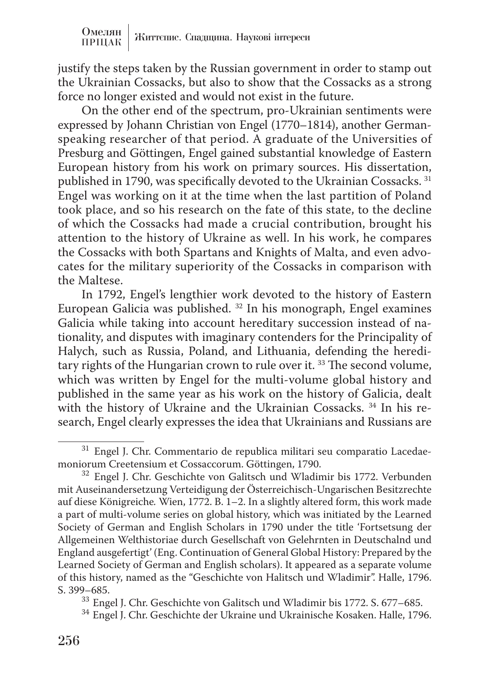justify the steps taken by the Russian government in order to stamp out the Ukrainian Cossacks, but also to show that the Cossacks as a strong force no longer existed and would not exist in the future.

On the other end of the spectrum, pro-Ukrainian sentiments were expressed by Johann Christian von Engel (1770–1814), another Germanspeaking researcher of that period. A graduate of the Universities of Presburg and Göttingen, Engel gained substantial knowledge of Eastern European history from his work on primary sources. His dissertation, published in 1790, was specifically devoted to the Ukrainian Cossacks. 31 Engel was working on it at the time when the last partition of Poland took place, and so his research on the fate of this state, to the decline of which the Cossacks had made a crucial contribution, brought his attention to the history of Ukraine as well. In his work, he compares the Cossacks with both Spartans and Knights of Malta, and even advocates for the military superiority of the Cossacks in comparison with the Maltese.

In 1792, Engel's lengthier work devoted to the history of Eastern European Galicia was published. 32 In his monograph, Engel examines Galicia while taking into account hereditary succession instead of nationality, and disputes with imaginary contenders for the Principality of Halych, such as Russia, Poland, and Lithuania, defending the hereditary rights of the Hungarian crown to rule over it.<sup>33</sup> The second volume, which was written by Engel for the multi-volume global history and published in the same year as his work on the history of Galicia, dealt with the history of Ukraine and the Ukrainian Cossacks.<sup>34</sup> In his research, Engel clearly expresses the idea that Ukrainians and Russians are

 $^{31}$  Engel J. Chr. Commentario de republica militari seu comparatio Lacedae-moniorum Creetensium et Cossaccorum. Göttingen, 1790.

 $32$  Engel J. Chr. Geschichte von Galitsch und Wladimir bis 1772. Verbunden mit Auseinandersetzung Verteidigung der Österreichisch-Ungarischen Besitzrechte auf diese Königreiche*.* Wien, 1772. B. 1–2. In a slightly altered form, this work made a part of multi-volume series on global history, which was initiated by the Learned Society of German and English Scholars in 1790 under the title 'Fortsetsung der Allgemeinen Welthistoriae durch Gesellschaft von Gelehrnten in Deutschalnd und England ausgefertigt' (Eng. Continuation of General Global History: Prepared by the Learned Society of German and English scholars). It appeared as a separate volume of this history, named as the "Geschichte von Halitsch und Wladimir". Halle, 1796.<br>S. 399–685.

 $^{33}$  Engel J. Chr. Geschichte von Galitsch und Wladimir bis 1772. S. 677–685.  $^{34}$  Engel J. Chr. Geschichte der Ukraine und Ukrainische Kosaken. Halle, 1796.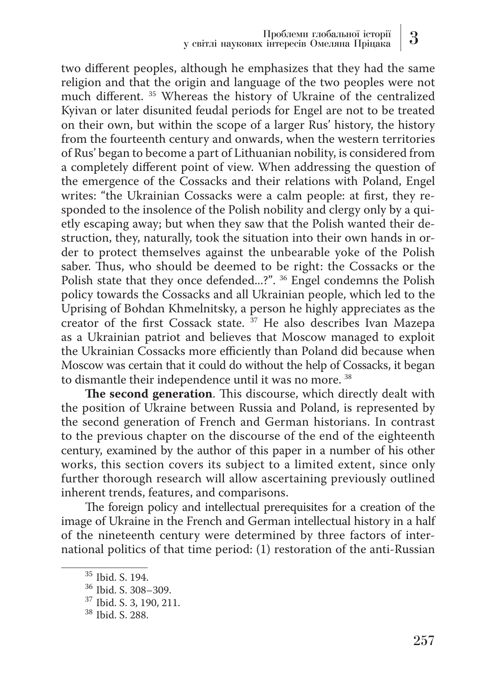two different peoples, although he emphasizes that they had the same religion and that the origin and language of the two peoples were not much different. 35 Whereas the history of Ukraine of the centralized Kyivan or later disunited feudal periods for Engel are not to be treated on their own, but within the scope of a larger Rus' history, the history from the fourteenth century and onwards, when the western territories of Rus' began to become a part of Lithuanian nobility, is considered from a completely different point of view. When addressing the question of the emergence of the Cossacks and their relations with Poland, Engel writes: "the Ukrainian Cossacks were a calm people: at first, they responded to the insolence of the Polish nobility and clergy only by a quietly escaping away; but when they saw that the Polish wanted their destruction, they, naturally, took the situation into their own hands in order to protect themselves against the unbearable yoke of the Polish saber. Thus, who should be deemed to be right: the Cossacks or the Polish state that they once defended...?". 36 Engel condemns the Polish policy towards the Cossacks and all Ukrainian people, which led to the Uprising of Bohdan Khmelnitsky, a person he highly appreciates as the creator of the first Cossack state. 37 He also describes Ivan Mazepa as a Ukrainian patriot and believes that Moscow managed to exploit the Ukrainian Cossacks more efficiently than Poland did because when Moscow was certain that it could do without the help of Cossacks, it began to dismantle their independence until it was no more. 38

**The second generation**. This discourse, which directly dealt with the position of Ukraine between Russia and Poland, is represented by the second generation of French and German historians. In contrast to the previous chapter on the discourse of the end of the eighteenth century, examined by the author of this paper in a number of his other works, this section covers its subject to a limited extent, since only further thorough research will allow ascertaining previously outlined inherent trends, features, and comparisons.

The foreign policy and intellectual prerequisites for a creation of the image of Ukraine in the French and German intellectual history in a half of the nineteenth century were determined by three factors of international politics of that time period: (1) restoration of the anti-Russian

 $\frac{35}{36}$  Ibid. S. 194.<br> $\frac{36}{37}$  Ibid. S. 3, 190, 211.<br> $\frac{38}{36}$  Ibid. S. 288.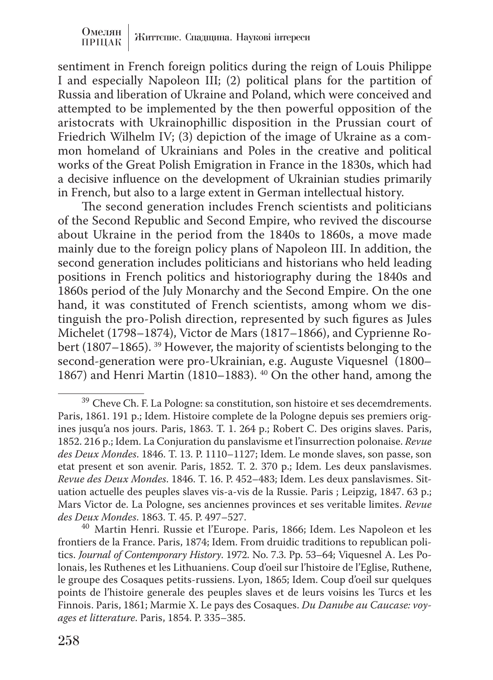sentiment in French foreign politics during the reign of Louis Philippe I and especially Napoleon III; (2) political plans for the partition of Russia and liberation of Ukraine and Poland, which were conceived and attempted to be implemented by the then powerful opposition of the aristocrats with Ukrainophillic disposition in the Prussian court of Friedrich Wilhelm IV; (3) depiction of the image of Ukraine as a common homeland of Ukrainians and Poles in the creative and political works of the Great Polish Emigration in France in the 1830s, which had a decisive influence on the development of Ukrainian studies primarily in French, but also to a large extent in German intellectual history.

The second generation includes French scientists and politicians of the Second Republic and Second Empire, who revived the discourse about Ukraine in the period from the 1840s to 1860s, a move made mainly due to the foreign policy plans of Napoleon III. In addition, the second generation includes politicians and historians who held leading positions in French politics and historiography during the 1840s and 1860s period of the July Monarchy and the Second Empire. On the one hand, it was constituted of French scientists, among whom we distinguish the pro-Polish direction, represented by such figures as Jules Michelet (1798–1874), Victor de Mars (1817–1866), and Cyprienne Robert (1807–1865). 39 However, the majority of scientists belonging to the second-generation were pro-Ukrainian, e.g. Auguste Viquesnel (1800– 1867) and Henri Martin (1810–1883). 40 On the other hand, among the

 $^{39}$  Cheve Ch. F. La Pologne: sa constitution, son histoire et ses decemdrements. Paris, 1861. 191 p.; Idem. Histoire complete de la Pologne depuis ses premiers origines jusqu'a nos jours. Paris, 1863. T. 1. 264 p.; Robert C. Des origins slaves. Paris, 1852. 216 p.; Idem. La Conjuration du panslavisme et l'insurrection polonaise. *Revue des Deux Mondes*. 1846. T. 13. P. 1110–1127; Idem. Le monde slaves, son passe, son etat present et son avenir. Paris, 1852. T. 2. 370 p.; Idem. Les deux panslavismes. *Revue des Deux Mondes*. 1846. T. 16. P. 452–483; Idem. Les deux panslavismes. Situation actuelle des peuples slaves vis-a-vis de la Russie. Paris ; Leipzig, 1847. 63 p.; Mars Victor de. La Pologne, ses anciennes provinces et ses veritable limites. *Revue des Deux Mondes*. 1863. T. 45. P. 497–527. <sup>40</sup> Martin Henri. Russie et l'Europe. Paris, 1866; Idem. Les Napoleon et les

frontiers de la France. Paris, 1874; Idem. From druidic traditions to republican politics. *Journal of Contemporary History*. 1972. No. 7.3. Pp. 53–64; Viquesnel A. Les Polonais, les Ruthenes et les Lithuaniens. Coup d'oeil sur l'histoire de l'Eglise, Ruthene, le groupe des Cosaques petits-russiens. Lyon, 1865; Idem. Coup d'oeil sur quelques points de l'histoire generale des peuples slaves et de leurs voisins les Turcs et les Finnois. Paris, 1861; Marmie X. Le pays des Cosaques. *Du Danube au Caucase: voyages et litterature*. Paris, 1854. P. 335–385.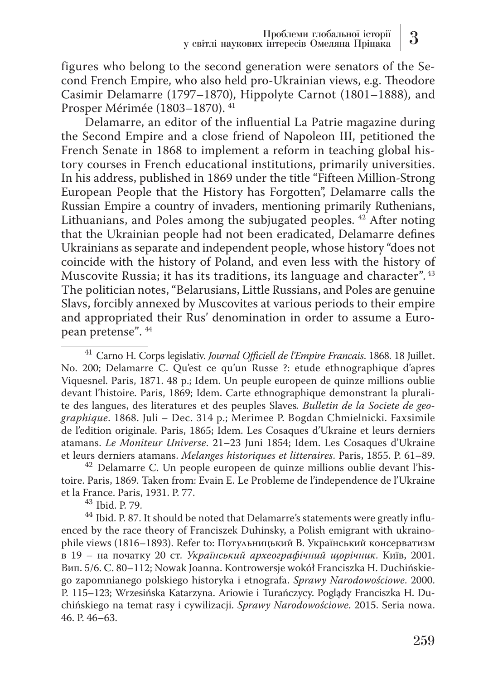figures who belong to the second generation were senators of the Second French Empire, who also held pro-Ukrainian views, e.g. Theodore Casimir Delamarre (1797–1870), Hippolyte Carnot (1801–1888), and Prosper Mérimée (1803–1870). 41

Delamarre, an editor of the influential La Patrie magazine during the Second Empire and a close friend of Napoleon III, petitioned the French Senate in 1868 to implement a reform in teaching global history courses in French educational institutions, primarily universities. In his address, published in 1869 under the title "Fifteen Million-Strong European People that the History has Forgotten", Delamarre calls the Russian Empire a country of invaders, mentioning primarily Ruthenians, Lithuanians, and Poles among the subjugated peoples.<sup>42</sup> After noting that the Ukrainian people had not been eradicated, Delamarre defines Ukrainians as separate and independent people, whose history "does not coincide with the history of Poland, and even less with the history of Muscovite Russia; it has its traditions, its language and character". 43 The politician notes, "Belarusians, Little Russians, and Poles are genuine Slavs, forcibly annexed by Muscovites at various periods to their empire and appropriated their Rus' denomination in order to assume a European pretense". 44

<sup>42</sup> Delamarre C. Un people europeen de quinze millions oublie devant l'histoire. Paris, 1869. Taken from: Evain E. Le Probleme de l'independence de l'Ukraine

 $^{\rm 43}$  Ibid. P. 79. <br> $^{\rm 44}$  Ibid. P. 87. It should be noted that Delamarre's statements were greatly influenced by the race theory of Franciszek Duhinsky, a Polish emigrant with ukrainophile views (1816–1893). Refer to: Потульницький В. Український консерватизм в 19 – на початку 20 ст. *Український археографічний щорічник*. Київ, 2001. Вип. 5/6. С. 80–112; Nowak Joanna. Kontrowersje wokół Franciszka H. Duchińskiego zapomnianego polskiego historyka i etnografa. *Sprawy Narodowościowe*. 2000. Р. 115–123; Wrzesińska Katarzyna. Ariowie i Turańczycy. Poglądy Franciszka H. Duchińskiego na temat rasy i cywilizacji. *Sprawy Narodowościowe*. 2015. Seria nowa. 46. Р. 46–63.

<sup>41</sup> Carno H. Corps legislativ. *Journal Officiell de l'Empire Francais*. 1868. 18 Juillet. No. 200; Delamarre C. Qu'est ce qu'un Russe ?: etude ethnographique d'apres Viquesnel. Paris, 1871. 48 p.; Idem. Un peuple europeen de quinze millions oublie devant l'histoire. Paris, 1869; Idem. Carte ethnographique demonstrant la pluralite des langues, des literatures et des peuples Slaves*. Bulletin de la Societe de geographique*. 1868. Juli – Dec. 314 p.; Merimee P. Bogdan Chmielnicki. Faxsimile de l'edition originale. Paris, 1865; Idem. Les Cosaques d'Ukraine et leurs derniers atamans. *Le Moniteur Universe*. 21–23 Juni 1854; Idem. Les Cosaques d'Ukraine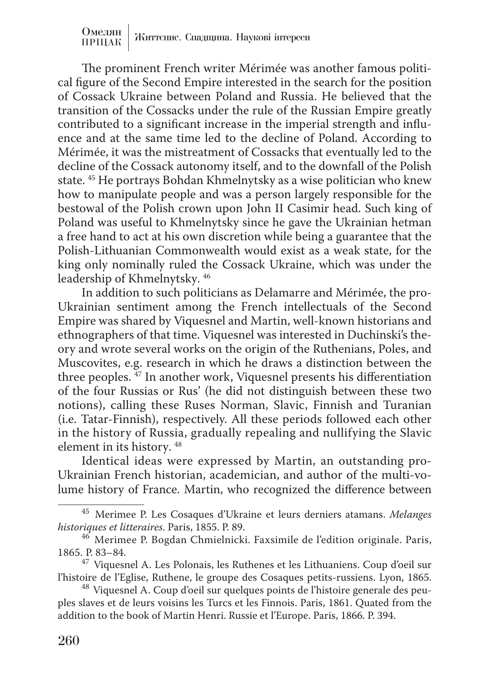Омелян |<br>ПРИСТЕ | Життєпис. Спадщина. Наукові інтереси ПРІЦАК

The prominent French writer Mérimée was another famous political figure of the Second Empire interested in the search for the position of Cossack Ukraine between Poland and Russia. He believed that the transition of the Cossacks under the rule of the Russian Empire greatly contributed to a significant increase in the imperial strength and influence and at the same time led to the decline of Poland. According to Mérimée, it was the mistreatment of Cossacks that eventually led to the decline of the Cossack autonomy itself, and to the downfall of the Polish state. 45 He portrays Bohdan Khmelnytsky as a wise politician who knew how to manipulate people and was a person largely responsible for the bestowal of the Polish crown upon John II Casimir head. Such king of Poland was useful to Khmelnytsky since he gave the Ukrainian hetman a free hand to act at his own discretion while being a guarantee that the Polish-Lithuanian Commonwealth would exist as a weak state, for the king only nominally ruled the Cossack Ukraine, which was under the leadership of Khmelnytsky. 46

In addition to such politicians as Delamarre and Mérimée, the pro-Ukrainian sentiment among the French intellectuals of the Second Empire was shared by Viquesnel and Martin, well-known historians and ethnographers of that time. Viquesnel was interested in Duchinski's theory and wrote several works on the origin of the Ruthenians, Poles, and Muscovites, e.g. research in which he draws a distinction between the three peoples.  $\frac{47}{7}$  In another work, Viquesnel presents his differentiation of the four Russias or Rus' (he did not distinguish between these two notions), calling these Ruses Norman, Slavic, Finnish and Turanian (i.e. Tatar-Finnish), respectively. All these periods followed each other in the history of Russia, gradually repealing and nullifying the Slavic element in its history. 48

Identical ideas were expressed by Martin, an outstanding pro-Ukrainian French historian, academician, and author of the multi-volume history of France. Martin, who recognized the difference between

<sup>45</sup> Merimee P. Les Cosaques d'Ukraine et leurs derniers atamans. *Melanges* 

<sup>&</sup>lt;sup>46</sup> Merimee P. Bogdan Chmielnicki. Faxsimile de l'edition originale. Paris, 1865. P. 83–84.

<sup>&</sup>lt;sup>47</sup> Viquesnel A. Les Polonais, les Ruthenes et les Lithuaniens. Coup d'oeil sur l'histoire de l'Eglise, Ruthene, le groupe des Cosaques petits-russiens. Lyon, 1865.

<sup>&</sup>lt;sup>48</sup> Viquesnel A. Coup d'oeil sur quelques points de l'histoire generale des peuples slaves et de leurs voisins les Turcs et les Finnois. Paris, 1861. Quated from the addition to the book of Martin Henri. Russie et l'Europe. Paris, 1866. P. 394.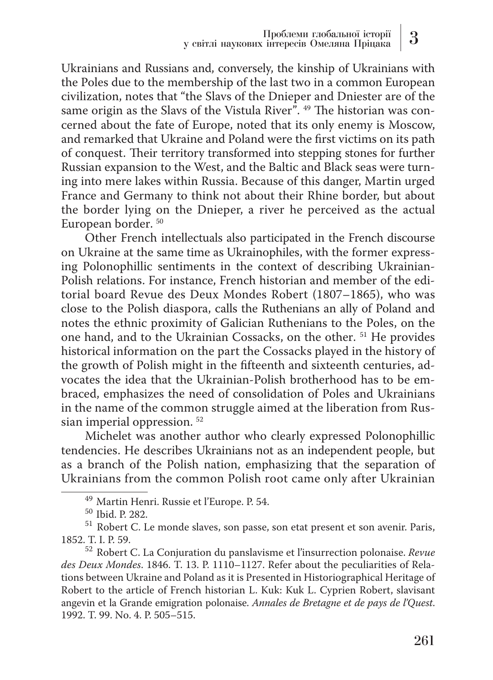Ukrainians and Russians and, conversely, the kinship of Ukrainians with the Poles due to the membership of the last two in a common European civilization, notes that "the Slavs of the Dnieper and Dniester are of the same origin as the Slavs of the Vistula River<sup> $\overline{r}$ </sup>.<sup>49</sup> The historian was concerned about the fate of Europe, noted that its only enemy is Moscow, and remarked that Ukraine and Poland were the first victims on its path of conquest. Their territory transformed into stepping stones for further Russian expansion to the West, and the Baltic and Black seas were turning into mere lakes within Russia. Because of this danger, Martin urged France and Germany to think not about their Rhine border, but about the border lying on the Dnieper, a river he perceived as the actual European border. 50

Other French intellectuals also participated in the French discourse on Ukraine at the same time as Ukrainophiles, with the former expressing Polonophillic sentiments in the context of describing Ukrainian-Polish relations. For instance, French historian and member of the editorial board Revue des Deux Mondes Robert (1807–1865), who was close to the Polish diaspora, calls the Ruthenians an ally of Poland and notes the ethnic proximity of Galician Ruthenians to the Poles, on the one hand, and to the Ukrainian Cossacks, on the other. 51 He provides historical information on the part the Cossacks played in the history of the growth of Polish might in the fifteenth and sixteenth centuries, advocates the idea that the Ukrainian-Polish brotherhood has to be embraced, emphasizes the need of consolidation of Poles and Ukrainians in the name of the common struggle aimed at the liberation from Russian imperial oppression. 52

Michelet was another author who clearly expressed Polonophillic tendencies. He describes Ukrainians not as an independent people, but as a branch of the Polish nation, emphasizing that the separation of Ukrainians from the common Polish root came only after Ukrainian

<sup>&</sup>lt;sup>49</sup> Martin Henri. Russie et l'Europe. P. 54.<br><sup>50</sup> Ibid. P. 282.<br><sup>51</sup> Robert C. Le monde slaves, son passe, son etat present et son avenir. Paris, 1852. T. I. P. 59.

<sup>1852.</sup> T. I. P. 59. <sup>52</sup> Robert C. La Conjuration du panslavisme et l'insurrection polonaise. *Revue des Deux Mondes*. 1846. T. 13. P. 1110–1127. Refer about the peculiarities of Relations between Ukraine and Poland as it is Presented in Historiographical Heritage of Robert to the article of French historian L. Kuk: Kuk L. Cyprien Robert, slavisant angevin et la Grande emigration polonaise. *Annales de Bretagne et de pays de l'Quest*. 1992. T. 99. No. 4. P. 505–515.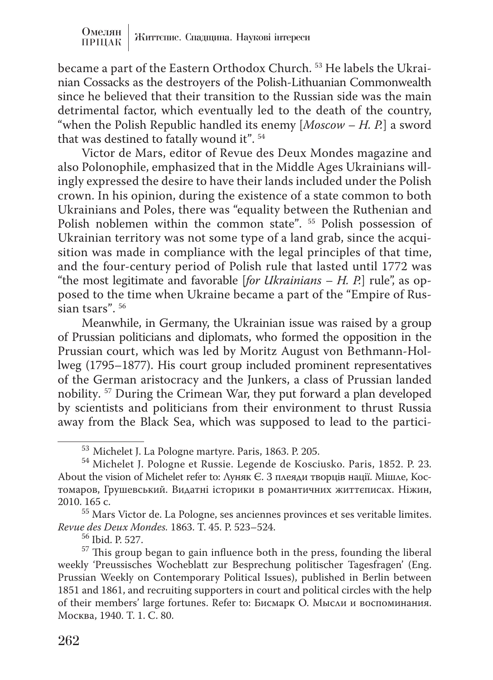became a part of the Eastern Orthodox Church. 53 He labels the Ukrainian Cossacks as the destroyers of the Polish-Lithuanian Commonwealth since he believed that their transition to the Russian side was the main detrimental factor, which eventually led to the death of the country, "when the Polish Republic handled its enemy [*Moscow – H. P.*] a sword that was destined to fatally wound it". 54

Victor de Mars, editor of Revue des Deux Mondes magazine and also Polonophile, emphasized that in the Middle Ages Ukrainians willingly expressed the desire to have their lands included under the Polish crown. In his opinion, during the existence of a state common to both Ukrainians and Poles, there was "equality between the Ruthenian and Polish noblemen within the common state". <sup>55</sup> Polish possession of Ukrainian territory was not some type of a land grab, since the acquisition was made in compliance with the legal principles of that time, and the four-century period of Polish rule that lasted until 1772 was "the most legitimate and favorable [*for Ukrainians – H. P.*] rule", as opposed to the time when Ukraine became a part of the "Empire of Russian tsars". 56

Meanwhile, in Germany, the Ukrainian issue was raised by a group of Prussian politicians and diplomats, who formed the opposition in the Prussian court, which was led by Moritz August von Bethmann-Hollweg (1795–1877). His court group included prominent representatives of the German aristocracy and the Junkers, a class of Prussian landed nobility. 57 During the Crimean War, they put forward a plan developed by scientists and politicians from their environment to thrust Russia away from the Black Sea, which was supposed to lead to the partici-

 $53$  Michelet J. La Pologne martyre. Paris, 1863. P. 205.<br> $54$  Michelet J. Pologne et Russie. Legende de Kosciusko. Paris, 1852. P. 23. About the vision of Michelet refer to: Луняк Є. З плеяди творців нації. Мішле, Костомаров, Грушевський. Видатні історики в романтичних життєписах. Ніжин,

 $55$  Mars Victor de. La Pologne, ses anciennes provinces et ses veritable limites. *Revue des Deux Mondes.* 1863. T. 45. P. 523–524. 56 Ibid. P. 527.

<sup>&</sup>lt;sup>57</sup> This group began to gain influence both in the press, founding the liberal weekly 'Preussisches Wocheblatt zur Besprechung politischer Tagesfragen' (Eng. Prussian Weekly on Contemporary Political Issues), published in Berlin between 1851 and 1861, and recruiting supporters in court and political circles with the help of their members' large fortunes. Refer to: Бисмарк О. Мысли и воспоминания. Москва, 1940. Т. 1. С. 80.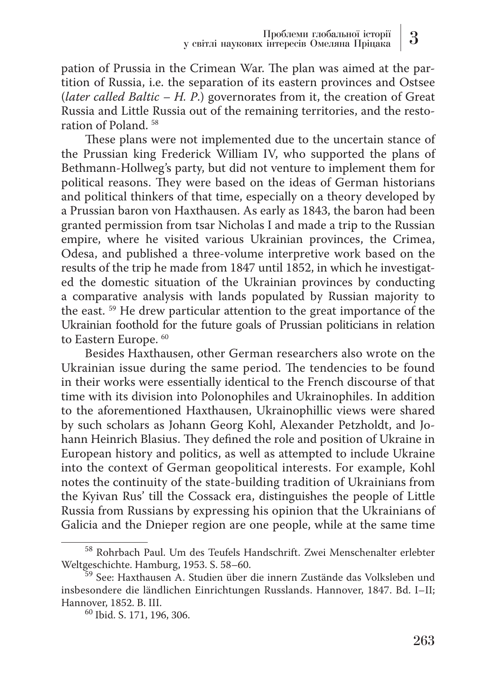pation of Prussia in the Crimean War. The plan was aimed at the partition of Russia, i.e. the separation of its eastern provinces and Ostsee (*later called Baltic – H. P*.) governorates from it, the creation of Great Russia and Little Russia out of the remaining territories, and the restoration of Poland. 58

These plans were not implemented due to the uncertain stance of the Prussian king Frederick William IV, who supported the plans of Bethmann-Hollweg's party, but did not venture to implement them for political reasons. They were based on the ideas of German historians and political thinkers of that time, especially on a theory developed by a Prussian baron von Haxthausen. As early as 1843, the baron had been granted permission from tsar Nicholas I and made a trip to the Russian empire, where he visited various Ukrainian provinces, the Crimea, Odesa, and published a three-volume interpretive work based on the results of the trip he made from 1847 until 1852, in which he investigated the domestic situation of the Ukrainian provinces by conducting a comparative analysis with lands populated by Russian majority to the east. 59 He drew particular attention to the great importance of the Ukrainian foothold for the future goals of Prussian politicians in relation to Eastern Europe. <sup>60</sup>

Besides Haxthausen, other German researchers also wrote on the Ukrainian issue during the same period. The tendencies to be found in their works were essentially identical to the French discourse of that time with its division into Polonophiles and Ukrainophiles. In addition to the aforementioned Haxthausen, Ukrainophillic views were shared by such scholars as Johann Georg Kohl, Alexander Petzholdt, and Johann Heinrich Blasius. They defined the role and position of Ukraine in European history and politics, as well as attempted to include Ukraine into the context of German geopolitical interests. For example, Kohl notes the continuity of the state-building tradition of Ukrainians from the Kyivan Rus' till the Cossack era, distinguishes the people of Little Russia from Russians by expressing his opinion that the Ukrainians of Galicia and the Dnieper region are one people, while at the same time

 $^{58}$  Rohrbach Paul. Um des Teufels Handschrift. Zwei Menschenalter erlebter Weltgeschichte. Hamburg, 1953. S. 58–60.

 $\frac{59}{59}$  See: Haxthausen A. Studien über die innern Zustände das Volksleben und insbesondere die ländlichen Einrichtungen Russlands. Hannover, 1847. Bd. I–II;

 $60$  Ibid. S. 171, 196, 306.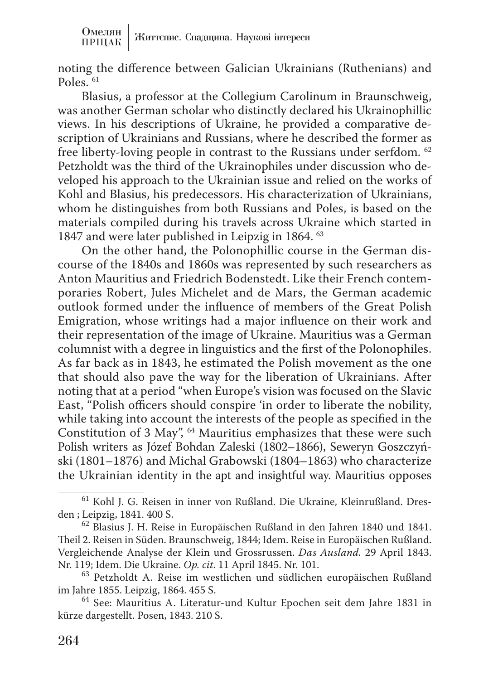noting the difference between Galician Ukrainians (Ruthenians) and Poles. 61

Blasius, a professor at the Collegium Carolinum in Braunschweig, was another German scholar who distinctly declared his Ukrainophillic views. In his descriptions of Ukraine, he provided a comparative description of Ukrainians and Russians, where he described the former as free liberty-loving people in contrast to the Russians under serfdom. 62 Petzholdt was the third of the Ukrainophiles under discussion who developed his approach to the Ukrainian issue and relied on the works of Kohl and Blasius, his predecessors. His characterization of Ukrainians, whom he distinguishes from both Russians and Poles, is based on the materials compiled during his travels across Ukraine which started in 1847 and were later published in Leipzig in 1864. 63

On the other hand, the Polonophillic course in the German discourse of the 1840s and 1860s was represented by such researchers as Anton Mauritius and Friedrich Bodenstedt. Like their French contemporaries Robert, Jules Michelet and de Mars, the German academic outlook formed under the influence of members of the Great Polish Emigration, whose writings had a major influence on their work and their representation of the image of Ukraine. Mauritius was a German columnist with a degree in linguistics and the first of the Polonophiles. As far back as in 1843, he estimated the Polish movement as the one that should also pave the way for the liberation of Ukrainians. After noting that at a period "when Europe's vision was focused on the Slavic East, "Polish officers should conspire 'in order to liberate the nobility, while taking into account the interests of the people as specified in the Constitution of 3 May", 64 Mauritius emphasizes that these were such Polish writers as Józef Bohdan Zaleski (1802–1866), Seweryn Goszczyński (1801–1876) and Michal Grabowski (1804–1863) who characterize the Ukrainian identity in the apt and insightful way. Mauritius opposes

<sup>&</sup>lt;sup>61</sup> Kohl J. G. Reisen in inner von Rußland. Die Ukraine, Kleinrußland. Dres-<br>den ; Leipzig, 1841. 400 S.

 $62$  Blasius J. H. Reise in Europäischen Rußland in den Jahren 1840 und 1841. Theil 2. Reisen in Süden. Braunschweig, 1844; Idem. Reise in Europäischen Rußland. Vergleichende Analyse der Klein und Grossrussen. *Das Ausland.* 29 April 1843.

<sup>&</sup>lt;sup>63</sup> Petzholdt A. Reise im westlichen und südlichen europäischen Rußland im Jahre 1855. Leipzig, 1864. 455 S.

<sup>&</sup>lt;sup>64</sup> See: Mauritius A. Literatur-und Kultur Epochen seit dem Jahre 1831 in kürze dargestellt. Posen, 1843. 210 S.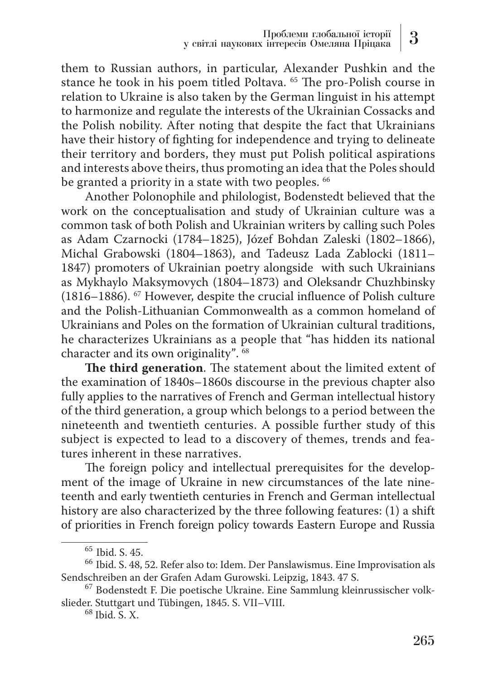them to Russian authors, in particular, Alexander Pushkin and the stance he took in his poem titled Poltava. 65 The pro-Polish course in relation to Ukraine is also taken by the German linguist in his attempt to harmonize and regulate the interests of the Ukrainian Cossacks and the Polish nobility. After noting that despite the fact that Ukrainians have their history of fighting for independence and trying to delineate their territory and borders, they must put Polish political aspirations and interests above theirs, thus promoting an idea that the Poles should be granted a priority in a state with two peoples. <sup>66</sup>

Another Polonophile and philologist, Bodenstedt believed that the work on the conceptualisation and study of Ukrainian culture was a common task of both Polish and Ukrainian writers by calling such Poles as Adam Czarnocki (1784–1825), Józef Bohdan Zaleski (1802–1866), Michal Grabowski (1804–1863), and Tadeusz Lada Zablocki (1811– 1847) promoters of Ukrainian poetry alongside with such Ukrainians as Mykhaylo Maksymovych (1804–1873) and Oleksandr Chuzhbinsky (1816–1886). 67 However, despite the crucial influence of Polish culture and the Polish-Lithuanian Commonwealth as a common homeland of Ukrainians and Poles on the formation of Ukrainian cultural traditions, he characterizes Ukrainians as a people that "has hidden its national character and its own originality". 68

**The third generation**. The statement about the limited extent of the examination of 1840s–1860s discourse in the previous chapter also fully applies to the narratives of French and German intellectual history of the third generation, a group which belongs to a period between the nineteenth and twentieth centuries. A possible further study of this subject is expected to lead to a discovery of themes, trends and features inherent in these narratives.

The foreign policy and intellectual prerequisites for the development of the image of Ukraine in new circumstances of the late nineteenth and early twentieth centuries in French and German intellectual history are also characterized by the three following features: (1) a shift of priorities in French foreign policy towards Eastern Europe and Russia

<sup>&</sup>lt;sup>65</sup> Ibid. S. 45.<br><sup>66</sup> Ibid. S. 48, 52. Refer also to: Idem. Der Panslawismus. Eine Improvisation als<br>Sendschreiben an der Grafen Adam Gurowski. Leipzig, 1843. 47 S.

<sup>&</sup>lt;sup>67</sup> Bodenstedt F. Die poetische Ukraine. Eine Sammlung kleinrussischer volkslieder. Stuttgart und Tübingen, 1845. S. VII–VIII. <sup>68</sup> Ibid. S. X.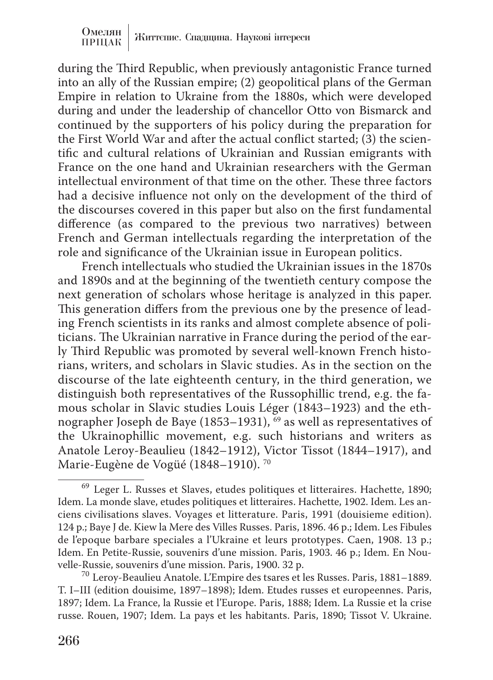during the Third Republic, when previously antagonistic France turned into an ally of the Russian empire; (2) geopolitical plans of the German Empire in relation to Ukraine from the 1880s, which were developed during and under the leadership of chancellor Otto von Bismarck and continued by the supporters of his policy during the preparation for the First World War and after the actual conflict started; (3) the scientific and cultural relations of Ukrainian and Russian emigrants with France on the one hand and Ukrainian researchers with the German intellectual environment of that time on the other. These three factors had a decisive influence not only on the development of the third of the discourses covered in this paper but also on the first fundamental difference (as compared to the previous two narratives) between French and German intellectuals regarding the interpretation of the role and significance of the Ukrainian issue in European politics.

French intellectuals who studied the Ukrainian issues in the 1870s and 1890s and at the beginning of the twentieth century compose the next generation of scholars whose heritage is analyzed in this paper. This generation differs from the previous one by the presence of leading French scientists in its ranks and almost complete absence of politicians. The Ukrainian narrative in France during the period of the early Third Republic was promoted by several well-known French historians, writers, and scholars in Slavic studies. As in the section on the discourse of the late eighteenth century, in the third generation, we distinguish both representatives of the Russophillic trend, e.g. the famous scholar in Slavic studies Louis Léger (1843–1923) and the ethnographer Joseph de Baye (1853–1931),  $\overline{69}$  as well as representatives of the Ukrainophillic movement, e.g. such historians and writers as Anatole Leroy-Beaulieu (1842–1912), Victor Tissot (1844–1917), and Marie-Eugène de Vogüé (1848–1910). 70

<sup>69</sup> Leger L. Russes et Slaves, etudes politiques et litteraires. Hachette, 1890; Idem. La monde slave, etudes politiques et litteraires. Hachette, 1902. Idem. Les anciens civilisations slaves. Voyages et litterature. Paris, 1991 (douisieme edition). 124 р.; Baye J de. Kiew la Mere des Villes Russes. Paris, 1896. 46 p.; Idem. Les Fibules de l'epoque barbare speciales a l'Ukraine et leurs prototypes. Caen, 1908. 13 p.; Idem. En Petite-Russie, souvenirs d'une mission. Paris, 1903. 46 p.; Idem. En Nou-<br>velle-Russie, souvenirs d'une mission. Paris, 1900. 32 p.

 $^{70}$  Leroy-Beaulieu Anatole. L'Empire des tsares et les Russes. Paris, 1881–1889. T. I–III (edition douisime, 1897–1898); Idem. Etudes russes et europeennes. Paris, 1897; Idem. La France, la Russie et l'Europe. Paris, 1888; Idem. La Russie et la crise russe. Rouen, 1907; Idem. La pays et les habitants. Paris, 1890; Tissot V. Ukraine.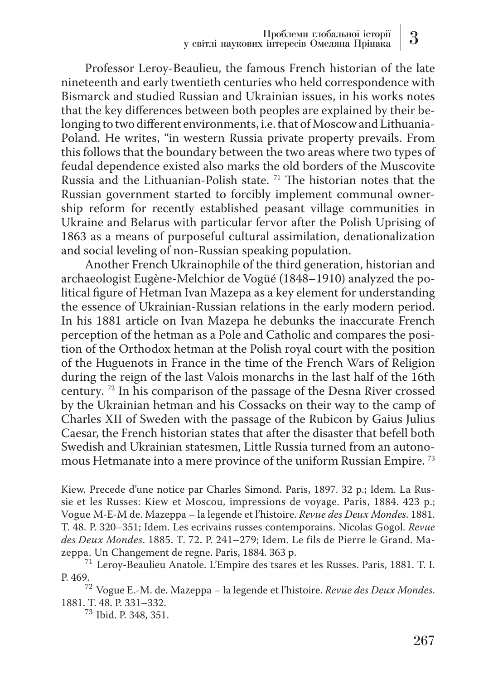Professor Leroy-Beaulieu, the famous French historian of the late nineteenth and early twentieth centuries who held correspondence with Bismarck and studied Russian and Ukrainian issues, in his works notes that the key differences between both peoples are explained by their belonging to two different environments, i.e. that of Moscow and Lithuania-Poland. He writes, "in western Russia private property prevails. From this follows that the boundary between the two areas where two types of feudal dependence existed also marks the old borders of the Muscovite Russia and the Lithuanian-Polish state. 71 The historian notes that the Russian government started to forcibly implement communal ownership reform for recently established peasant village communities in Ukraine and Belarus with particular fervor after the Polish Uprising of 1863 as a means of purposeful cultural assimilation, denationalization and social leveling of non-Russian speaking population.

Another French Ukrainophile of the third generation, historian and archaeologist Eugène-Melchior de Vogüé (1848–1910) analyzed the political figure of Hetman Ivan Mazepa as a key element for understanding the essence of Ukrainian-Russian relations in the early modern period. In his 1881 article on Ivan Mazepa he debunks the inaccurate French perception of the hetman as a Pole and Catholic and compares the position of the Orthodox hetman at the Polish royal court with the position of the Huguenots in France in the time of the French Wars of Religion during the reign of the last Valois monarchs in the last half of the 16th century. 72 In his comparison of the passage of the Desna River crossed by the Ukrainian hetman and his Cossacks on their way to the camp of Charles XII of Sweden with the passage of the Rubicon by Gaius Julius Caesar, the French historian states that after the disaster that befell both Swedish and Ukrainian statesmen, Little Russia turned from an autonomous Hetmanate into a mere province of the uniform Russian Empire. 73

<sup>73</sup> Ibid. P. 348, 351.

Kiew. Precede d'une notice par Charles Simond. Paris, 1897. 32 p.; Idem. La Russie et les Russes: Kiew et Moscou, impressions de voyage. Paris, 1884. 423 p.; Vogue M-E-M de. Mazeppa – la legende et l'histoire. *Revue des Deux Mondes*. 1881. T. 48. P. 320–351; Idem. Les ecrivains russes contemporains. Nicolas Gogol. *Revue des Deux Mondes*. 1885. T. 72. P. 241–279; Idem. Le fils de Pierre le Grand. Ma-<br>zeppa. Un Changement de regne. Paris, 1884. 363 p.

 $^{71}$  Leroy-Beaulieu Anatole. L'Empire des tsares et les Russes. Paris, 1881. T. I.

P. 469.72 Vogue E.-M. de. Mazeppa – la legende et l'histoire. *Revue des Deux Mondes*.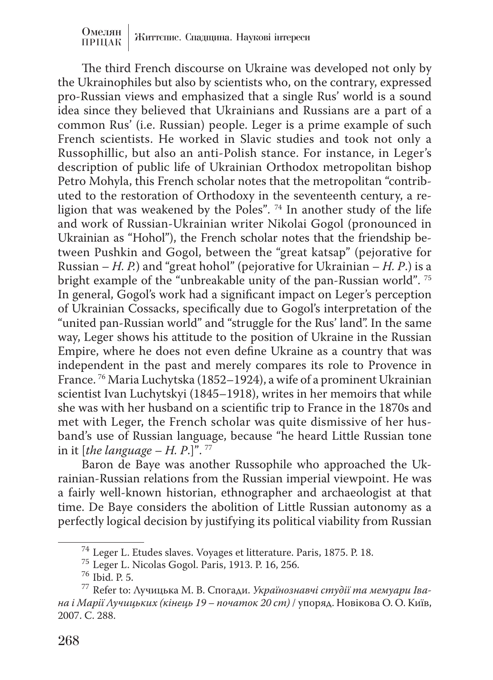The third French discourse on Ukraine was developed not only by the Ukrainophiles but also by scientists who, on the contrary, expressed pro-Russian views and emphasized that a single Rus' world is a sound idea since they believed that Ukrainians and Russians are a part of a common Rus' (i.e. Russian) people. Leger is a prime example of such French scientists. He worked in Slavic studies and took not only a Russophillic, but also an anti-Polish stance. For instance, in Leger's description of public life of Ukrainian Orthodox metropolitan bishop Petro Mohyla, this French scholar notes that the metropolitan "contributed to the restoration of Orthodoxy in the seventeenth century, a religion that was weakened by the Poles". 74 In another study of the life and work of Russian-Ukrainian writer Nikolai Gogol (pronounced in Ukrainian as "Hohol"), the French scholar notes that the friendship between Pushkin and Gogol, between the "great katsap" (pejorative for Russian – *H. P.*) and "great hohol" (pejorative for Ukrainian – *H. P*.) is a bright example of the "unbreakable unity of the pan-Russian world". 75 In general, Gogol's work had a significant impact on Leger's perception of Ukrainian Cossacks, specifically due to Gogol's interpretation of the "united pan-Russian world" and "struggle for the Rus' land". In the same way, Leger shows his attitude to the position of Ukraine in the Russian Empire, where he does not even define Ukraine as a country that was independent in the past and merely compares its role to Provence in France. 76 Maria Luchytska (1852–1924), a wife of a prominent Ukrainian scientist Ivan Luchytskyi (1845–1918), writes in her memoirs that while she was with her husband on a scientific trip to France in the 1870s and met with Leger, the French scholar was quite dismissive of her husband's use of Russian language, because "he heard Little Russian tone in it [*the language – H. P*.]". 77

Baron de Baye was another Russophile who approached the Ukrainian-Russian relations from the Russian imperial viewpoint. He was a fairly well-known historian, ethnographer and archaeologist at that time. De Baye considers the abolition of Little Russian autonomy as a perfectly logical decision by justifying its political viability from Russian

<sup>74</sup> Leger L. Etudes slaves. Voyages et litterature. Paris, 1875. P. 18. <sup>75</sup> Leger L. Nicolas Gogol. Paris, 1913. P. 16, 256. <sup>76</sup> Ibid. P. 5. 77 Refer to: Лучицька М. В. Спогади. *Українознавчі студії та мемуари Івана і Марії Лучицьких (кінець 19 – початок 20 ст)* / упоряд. Новікова О. О. Київ, 2007. С. 288.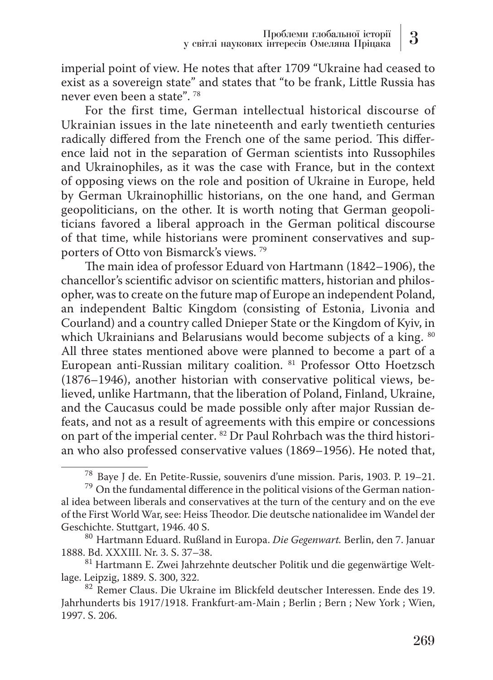imperial point of view. He notes that after 1709 "Ukraine had ceased to exist as a sovereign state" and states that "to be frank, Little Russia has never even been a state". 78

For the first time, German intellectual historical discourse of Ukrainian issues in the late nineteenth and early twentieth centuries radically differed from the French one of the same period. This difference laid not in the separation of German scientists into Russophiles and Ukrainophiles, as it was the case with France, but in the context of opposing views on the role and position of Ukraine in Europe, held by German Ukrainophillic historians, on the one hand, and German geopoliticians, on the other. It is worth noting that German geopoliticians favored a liberal approach in the German political discourse of that time, while historians were prominent conservatives and supporters of Otto von Bismarck's views. 79

The main idea of professor Eduard von Hartmann (1842–1906), the chancellor's scientific advisor on scientific matters, historian and philosopher, was to create on the future map of Europe an independent Poland, an independent Baltic Kingdom (consisting of Estonia, Livonia and Courland) and a country called Dnieper State or the Kingdom of Kyiv, in which Ukrainians and Belarusians would become subjects of a king. <sup>80</sup> All three states mentioned above were planned to become a part of a European anti-Russian military coalition. 81 Professor Otto Hoetzsch (1876–1946), another historian with conservative political views, believed, unlike Hartmann, that the liberation of Poland, Finland, Ukraine, and the Caucasus could be made possible only after major Russian defeats, and not as a result of agreements with this empire or concessions on part of the imperial center. 82 Dr Paul Rohrbach was the third historian who also professed conservative values (1869–1956). He noted that,

<sup>&</sup>lt;sup>78</sup> Baye J de. En Petite-Russie, souvenirs d'une mission. Paris, 1903. P. 19–21.<br><sup>79</sup> On the fundamental difference in the political visions of the German national idea between liberals and conservatives at the turn of the century and on the eve of the First World War, see: Heiss Theodor. Die deutsche nationalidee im Wandel der

<sup>&</sup>lt;sup>80</sup> Hartmann Eduard. Rußland in Europa. *Die Gegenwart*. Berlin, den 7. Januar 1888. Bd. XXXIII. Nr. 3. S. 37–38.

 $^{81}$ Hartmann E. Zwei Jahrzehnte deutscher Politik und die gegenwärtige Weltlage. Leipzig, 1889. S. 300, 322.

<sup>82</sup> Remer Claus. Die Ukraine im Blickfeld deutscher Interessen. Ende des 19. Jahrhunderts bis 1917/1918. Frankfurt-am-Main ; Berlin ; Bern ; New York ; Wien, 1997. S. 206.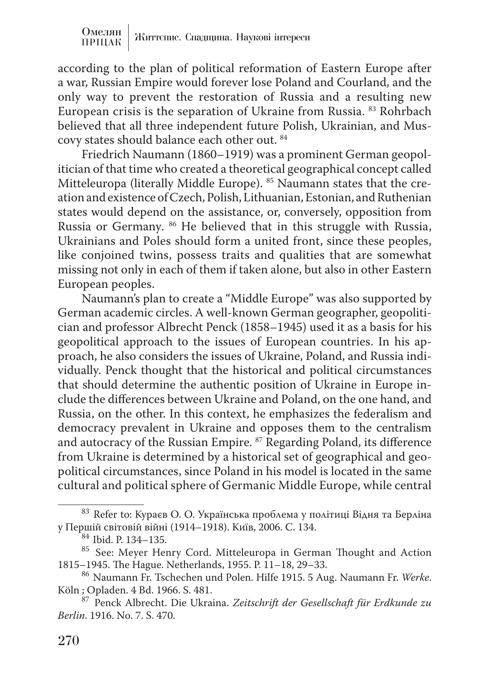according to the plan of political reformation of Eastern Europe after a war, Russian Empire would forever lose Poland and Courland, and the only way to prevent the restoration of Russia and a resulting new European crisis is the separation of Ukraine from Russia. 83 Rohrbach believed that all three independent future Polish, Ukrainian, and Muscovy states should balance each other out. 84

Friedrich Naumann (1860–1919) was a prominent German geopolitician of that time who created a theoretical geographical concept called Mitteleuropa (literally Middle Europe). 85 Naumann states that the creation and existence of Czech, Polish, Lithuanian, Estonian, and Ruthenian states would depend on the assistance, or, conversely, opposition from Russia or Germany. <sup>86</sup> He believed that in this struggle with Russia, Ukrainians and Poles should form a united front, since these peoples, like conjoined twins, possess traits and qualities that are somewhat missing not only in each of them if taken alone, but also in other Eastern European peoples.

Naumann's plan to create a "Middle Europe" was also supported by German academic circles. A well-known German geographer, geopolitician and professor Albrecht Penck (1858–1945) used it as a basis for his geopolitical approach to the issues of European countries. In his approach, he also considers the issues of Ukraine, Poland, and Russia individually. Penck thought that the historical and political circumstances that should determine the authentic position of Ukraine in Europe include the differences between Ukraine and Poland, on the one hand, and Russia, on the other. In this context, he emphasizes the federalism and democracy prevalent in Ukraine and opposes them to the centralism and autocracy of the Russian Empire. 87 Regarding Poland, its difference from Ukraine is determined by a historical set of geographical and geopolitical circumstances, since Poland in his model is located in the same cultural and political sphere of Germanic Middle Europe, while central

 $^{83}$  Refer to: Кураєв О. О. Українська проблема у політиці Відня та Берліна у Першій світовій війні (1914–1918). Київ, 2006. С. 134.

<sup>&</sup>lt;sup>54</sup> Ibid. P. 134–135.<br><sup>85</sup> See: Meyer Henry Cord. Mitteleuropa in German Thought and Action<br>1815–1945. The Hague. Netherlands, 1955. P. 11–18, 29–33.

<sup>&</sup>lt;sup>86</sup> Naumann Fr. Tschechen und Polen. Hilfe 1915. 5 Aug. Naumann Fr. *Werke*. Köln; Opladen. 4 Bd. 1966. S. 481.

<sup>&</sup>lt;sup>87</sup> Penck Albrecht. Die Ukraina. Zeitschrift der Gesellschaft für Erdkunde zu *Berlin*. 1916. No. 7. S. 470.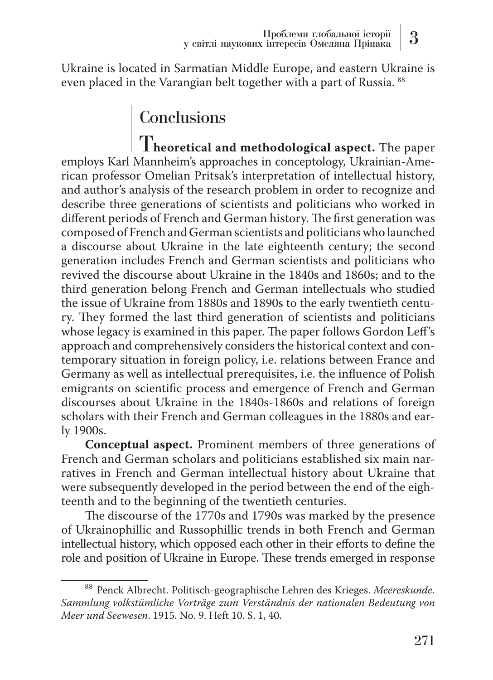Ukraine is located in Sarmatian Middle Europe, and eastern Ukraine is even placed in the Varangian belt together with a part of Russia. 88

## **Conclusions**

T**heoretical and methodological aspect.** The paper employs Karl Mannheim's approaches in conceptology, Ukrainian-American professor Omelian Pritsak's interpretation of intellectual history, and author's analysis of the research problem in order to recognize and describe three generations of scientists and politicians who worked in different periods of French and German history. The first generation was composed of French and German scientists and politicians who launched a discourse about Ukraine in the late eighteenth century; the second generation includes French and German scientists and politicians who revived the discourse about Ukraine in the 1840s and 1860s; and to the third generation belong French and German intellectuals who studied the issue of Ukraine from 1880s and 1890s to the early twentieth century. They formed the last third generation of scientists and politicians whose legacy is examined in this paper. The paper follows Gordon Leff's approach and comprehensively considers the historical context and contemporary situation in foreign policy, i.e. relations between France and Germany as well as intellectual prerequisites, i.e. the influence of Polish emigrants on scientific process and emergence of French and German discourses about Ukraine in the 1840s-1860s and relations of foreign scholars with their French and German colleagues in the 1880s and early 1900s.

**Conceptual aspect.** Prominent members of three generations of French and German scholars and politicians established six main narratives in French and German intellectual history about Ukraine that were subsequently developed in the period between the end of the eighteenth and to the beginning of the twentieth centuries.

The discourse of the 1770s and 1790s was marked by the presence of Ukrainophillic and Russophillic trends in both French and German intellectual history, which opposed each other in their efforts to define the role and position of Ukraine in Europe. These trends emerged in response

<sup>88</sup> Penck Albrecht. Politisch-geographische Lehren des Krieges. *Meereskunde. Sammlung volkstümliche Vorträge zum Verständnis der nationalen Bedeutung von Meer und Seewesen*. 1915. No. 9. Heft 10. S. 1, 40.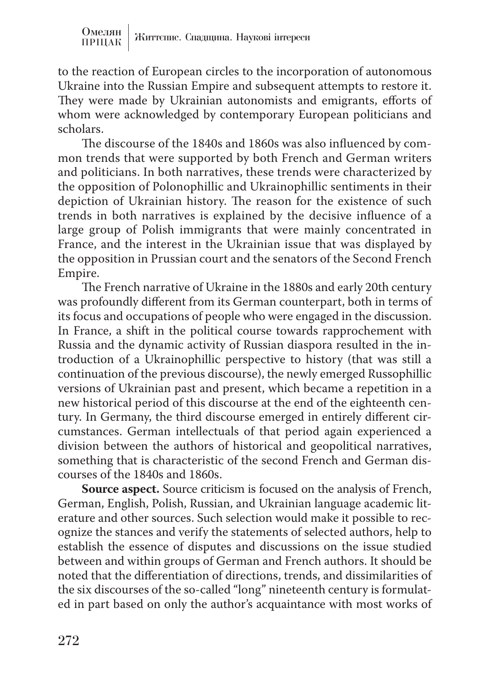to the reaction of European circles to the incorporation of autonomous Ukraine into the Russian Empire and subsequent attempts to restore it. They were made by Ukrainian autonomists and emigrants, efforts of whom were acknowledged by contemporary European politicians and scholars.

The discourse of the 1840s and 1860s was also influenced by common trends that were supported by both French and German writers and politicians. In both narratives, these trends were characterized by the opposition of Polonophillic and Ukrainophillic sentiments in their depiction of Ukrainian history. The reason for the existence of such trends in both narratives is explained by the decisive influence of a large group of Polish immigrants that were mainly concentrated in France, and the interest in the Ukrainian issue that was displayed by the opposition in Prussian court and the senators of the Second French Empire.

The French narrative of Ukraine in the 1880s and early 20th century was profoundly different from its German counterpart, both in terms of its focus and occupations of people who were engaged in the discussion. In France, a shift in the political course towards rapprochement with Russia and the dynamic activity of Russian diaspora resulted in the introduction of a Ukrainophillic perspective to history (that was still a continuation of the previous discourse), the newly emerged Russophillic versions of Ukrainian past and present, which became a repetition in a new historical period of this discourse at the end of the eighteenth century. In Germany, the third discourse emerged in entirely different circumstances. German intellectuals of that period again experienced a division between the authors of historical and geopolitical narratives, something that is characteristic of the second French and German discourses of the 1840s and 1860s.

**Source aspect.** Source criticism is focused on the analysis of French, German, English, Polish, Russian, and Ukrainian language academic literature and other sources. Such selection would make it possible to recognize the stances and verify the statements of selected authors, help to establish the essence of disputes and discussions on the issue studied between and within groups of German and French authors. It should be noted that the differentiation of directions, trends, and dissimilarities of the six discourses of the so-called "long" nineteenth century is formulated in part based on only the author's acquaintance with most works of